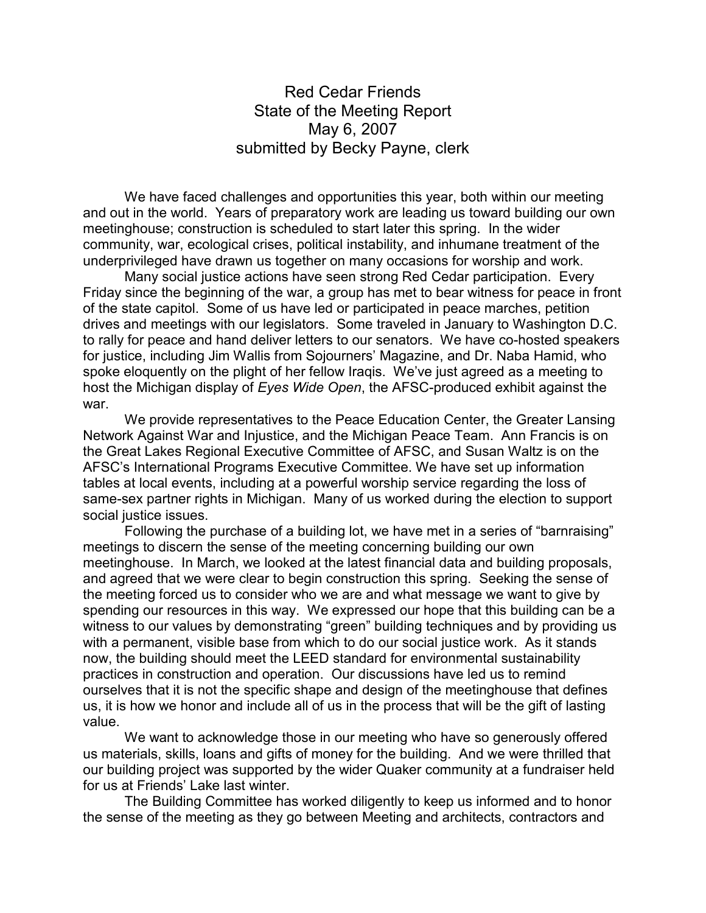Red Cedar Friends State of the Meeting Report May 6, 2007 submitted by Becky Payne, clerk

 We have faced challenges and opportunities this year, both within our meeting and out in the world. Years of preparatory work are leading us toward building our own meetinghouse; construction is scheduled to start later this spring. In the wider community, war, ecological crises, political instability, and inhumane treatment of the underprivileged have drawn us together on many occasions for worship and work.

 Many social justice actions have seen strong Red Cedar participation. Every Friday since the beginning of the war, a group has met to bear witness for peace in front of the state capitol. Some of us have led or participated in peace marches, petition drives and meetings with our legislators. Some traveled in January to Washington D.C. to rally for peace and hand deliver letters to our senators. We have co-hosted speakers for justice, including Jim Wallis from Sojourners' Magazine, and Dr. Naba Hamid, who spoke eloquently on the plight of her fellow Iraqis. We've just agreed as a meeting to host the Michigan display of *Eyes Wide Open*, the AFSC-produced exhibit against the war.

 We provide representatives to the Peace Education Center, the Greater Lansing Network Against War and Injustice, and the Michigan Peace Team. Ann Francis is on the Great Lakes Regional Executive Committee of AFSC, and Susan Waltz is on the AFSC's International Programs Executive Committee. We have set up information tables at local events, including at a powerful worship service regarding the loss of same-sex partner rights in Michigan. Many of us worked during the election to support social justice issues.

 Following the purchase of a building lot, we have met in a series of "barnraising" meetings to discern the sense of the meeting concerning building our own meetinghouse. In March, we looked at the latest financial data and building proposals, and agreed that we were clear to begin construction this spring. Seeking the sense of the meeting forced us to consider who we are and what message we want to give by spending our resources in this way. We expressed our hope that this building can be a witness to our values by demonstrating "green" building techniques and by providing us with a permanent, visible base from which to do our social justice work. As it stands now, the building should meet the LEED standard for environmental sustainability practices in construction and operation. Our discussions have led us to remind ourselves that it is not the specific shape and design of the meetinghouse that defines us, it is how we honor and include all of us in the process that will be the gift of lasting value.

 We want to acknowledge those in our meeting who have so generously offered us materials, skills, loans and gifts of money for the building. And we were thrilled that our building project was supported by the wider Quaker community at a fundraiser held for us at Friends' Lake last winter.

 The Building Committee has worked diligently to keep us informed and to honor the sense of the meeting as they go between Meeting and architects, contractors and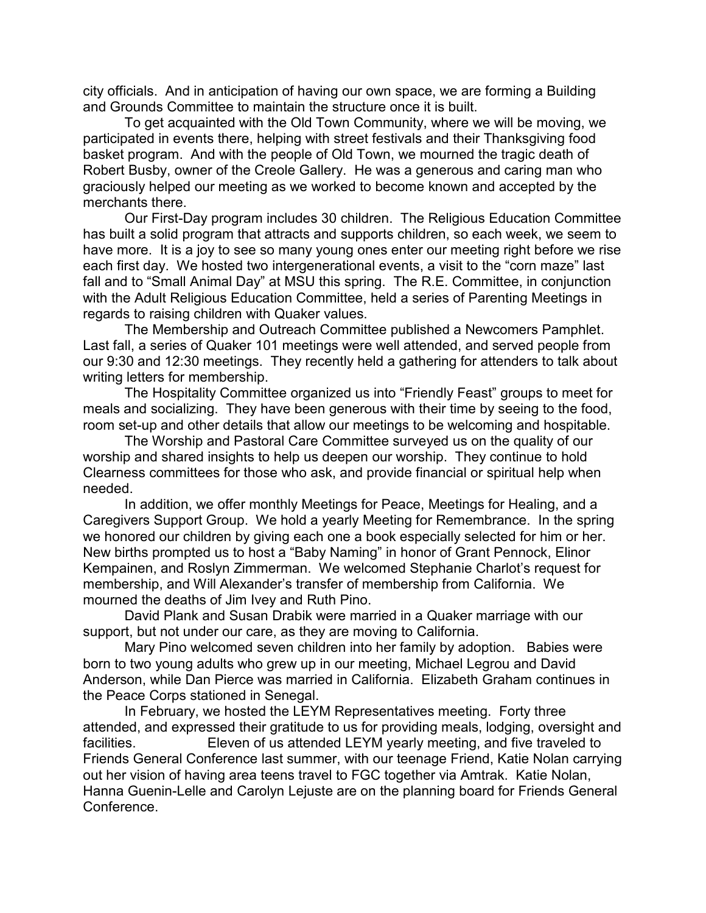city officials. And in anticipation of having our own space, we are forming a Building and Grounds Committee to maintain the structure once it is built.

 To get acquainted with the Old Town Community, where we will be moving, we participated in events there, helping with street festivals and their Thanksgiving food basket program. And with the people of Old Town, we mourned the tragic death of Robert Busby, owner of the Creole Gallery. He was a generous and caring man who graciously helped our meeting as we worked to become known and accepted by the merchants there.

 Our First-Day program includes 30 children. The Religious Education Committee has built a solid program that attracts and supports children, so each week, we seem to have more. It is a joy to see so many young ones enter our meeting right before we rise each first day. We hosted two intergenerational events, a visit to the "corn maze" last fall and to "Small Animal Day" at MSU this spring. The R.E. Committee, in conjunction with the Adult Religious Education Committee, held a series of Parenting Meetings in regards to raising children with Quaker values.

 The Membership and Outreach Committee published a Newcomers Pamphlet. Last fall, a series of Quaker 101 meetings were well attended, and served people from our 9:30 and 12:30 meetings. They recently held a gathering for attenders to talk about writing letters for membership.

 The Hospitality Committee organized us into "Friendly Feast" groups to meet for meals and socializing. They have been generous with their time by seeing to the food, room set-up and other details that allow our meetings to be welcoming and hospitable.

 The Worship and Pastoral Care Committee surveyed us on the quality of our worship and shared insights to help us deepen our worship. They continue to hold Clearness committees for those who ask, and provide financial or spiritual help when needed.

 In addition, we offer monthly Meetings for Peace, Meetings for Healing, and a Caregivers Support Group. We hold a yearly Meeting for Remembrance. In the spring we honored our children by giving each one a book especially selected for him or her. New births prompted us to host a "Baby Naming" in honor of Grant Pennock, Elinor Kempainen, and Roslyn Zimmerman. We welcomed Stephanie Charlot's request for membership, and Will Alexander's transfer of membership from California. We mourned the deaths of Jim Ivey and Ruth Pino.

 David Plank and Susan Drabik were married in a Quaker marriage with our support, but not under our care, as they are moving to California.

 Mary Pino welcomed seven children into her family by adoption. Babies were born to two young adults who grew up in our meeting, Michael Legrou and David Anderson, while Dan Pierce was married in California. Elizabeth Graham continues in the Peace Corps stationed in Senegal.

 In February, we hosted the LEYM Representatives meeting. Forty three attended, and expressed their gratitude to us for providing meals, lodging, oversight and facilities. Eleven of us attended LEYM yearly meeting, and five traveled to Friends General Conference last summer, with our teenage Friend, Katie Nolan carrying out her vision of having area teens travel to FGC together via Amtrak. Katie Nolan, Hanna Guenin-Lelle and Carolyn Lejuste are on the planning board for Friends General Conference.